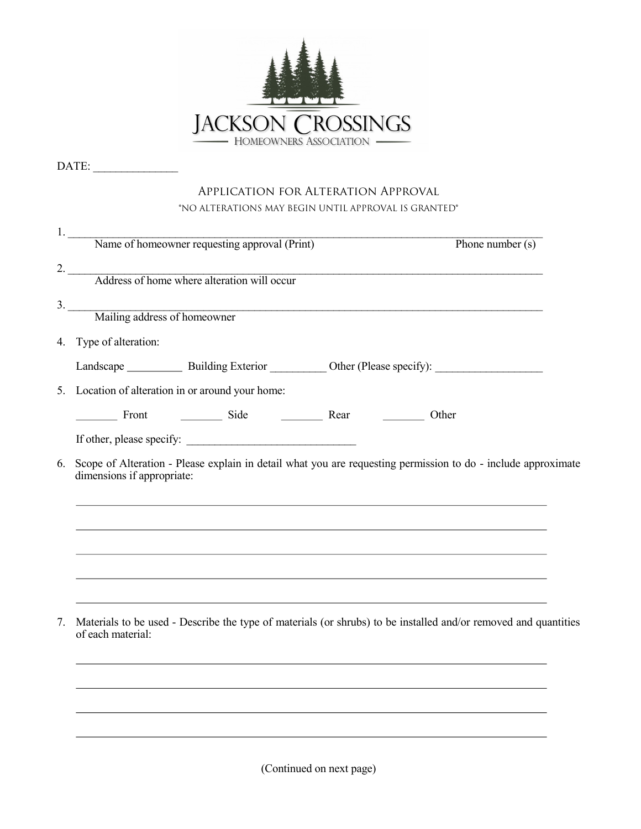

DATE: \_\_\_\_\_\_\_\_\_\_\_\_\_\_\_

|    | <b>APPLICATION FOR ALTERATION APPROVAL</b>                                                                                                                                                                                     |
|----|--------------------------------------------------------------------------------------------------------------------------------------------------------------------------------------------------------------------------------|
|    | *NO ALTERATIONS MAY BEGIN UNTIL APPROVAL IS GRANTED*                                                                                                                                                                           |
|    | 1. Name of homeowner requesting approval (Print)<br>Phone number $(s)$                                                                                                                                                         |
|    | 2. Address of home where alteration will occur                                                                                                                                                                                 |
|    |                                                                                                                                                                                                                                |
|    | 3. Mailing address of homeowner                                                                                                                                                                                                |
|    |                                                                                                                                                                                                                                |
|    | 4. Type of alteration:                                                                                                                                                                                                         |
|    |                                                                                                                                                                                                                                |
|    | 5. Location of alteration in or around your home:                                                                                                                                                                              |
|    | Front The Side The Rear Communication Communication Communication Communication Communication Communication Communication Communication Communication Communication Communication Communication Communication Communication Co |
|    |                                                                                                                                                                                                                                |
| 6. | Scope of Alteration - Please explain in detail what you are requesting permission to do - include approximate<br>dimensions if appropriate:                                                                                    |
|    |                                                                                                                                                                                                                                |
|    |                                                                                                                                                                                                                                |

(Continued on next page)